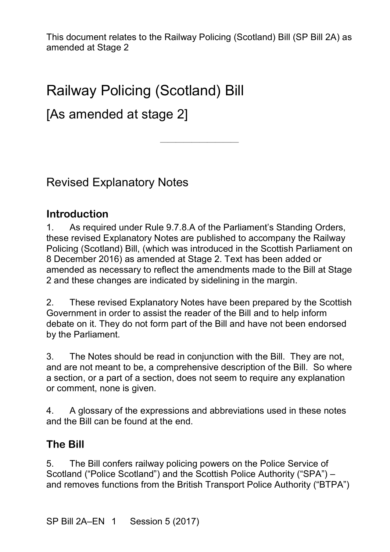————————————————————

# Railway Policing (Scotland) Bill

# [As amended at stage 2]

Revised Explanatory Notes

#### **Introduction**

1. As required under Rule 9.7.8.A of the Parliament's Standing Orders, these revised Explanatory Notes are published to accompany the Railway Policing (Scotland) Bill, (which was introduced in the Scottish Parliament on 8 December 2016) as amended at Stage 2. Text has been added or amended as necessary to reflect the amendments made to the Bill at Stage 2 and these changes are indicated by sidelining in the margin.

2. These revised Explanatory Notes have been prepared by the Scottish Government in order to assist the reader of the Bill and to help inform debate on it. They do not form part of the Bill and have not been endorsed by the Parliament.

3. The Notes should be read in conjunction with the Bill. They are not, and are not meant to be, a comprehensive description of the Bill. So where a section, or a part of a section, does not seem to require any explanation or comment, none is given.

4. A glossary of the expressions and abbreviations used in these notes and the Bill can be found at the end.

#### **The Bill**

5. The Bill confers railway policing powers on the Police Service of Scotland ("Police Scotland") and the Scottish Police Authority ("SPA") – and removes functions from the British Transport Police Authority ("BTPA")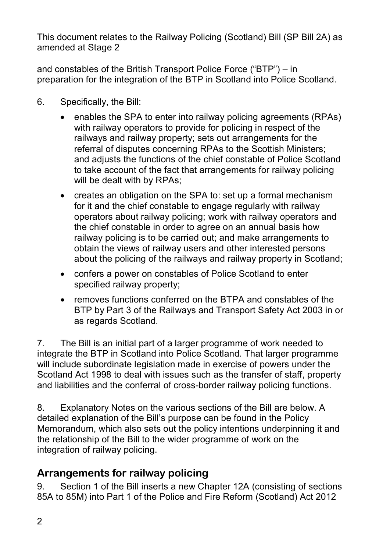and constables of the British Transport Police Force ("BTP") – in preparation for the integration of the BTP in Scotland into Police Scotland.

- 6. Specifically, the Bill:
	- enables the SPA to enter into railway policing agreements (RPAs) with railway operators to provide for policing in respect of the railways and railway property; sets out arrangements for the referral of disputes concerning RPAs to the Scottish Ministers; and adjusts the functions of the chief constable of Police Scotland to take account of the fact that arrangements for railway policing will be dealt with by RPAs;
	- creates an obligation on the SPA to: set up a formal mechanism for it and the chief constable to engage regularly with railway operators about railway policing; work with railway operators and the chief constable in order to agree on an annual basis how railway policing is to be carried out; and make arrangements to obtain the views of railway users and other interested persons about the policing of the railways and railway property in Scotland;
	- confers a power on constables of Police Scotland to enter specified railway property;
	- removes functions conferred on the BTPA and constables of the BTP by Part 3 of the Railways and Transport Safety Act 2003 in or as regards Scotland.

7. The Bill is an initial part of a larger programme of work needed to integrate the BTP in Scotland into Police Scotland. That larger programme will include subordinate legislation made in exercise of powers under the Scotland Act 1998 to deal with issues such as the transfer of staff, property and liabilities and the conferral of cross-border railway policing functions.

8. Explanatory Notes on the various sections of the Bill are below. A detailed explanation of the Bill's purpose can be found in the Policy Memorandum, which also sets out the policy intentions underpinning it and the relationship of the Bill to the wider programme of work on the integration of railway policing.

## **Arrangements for railway policing**

9. Section 1 of the Bill inserts a new Chapter 12A (consisting of sections 85A to 85M) into Part 1 of the Police and Fire Reform (Scotland) Act 2012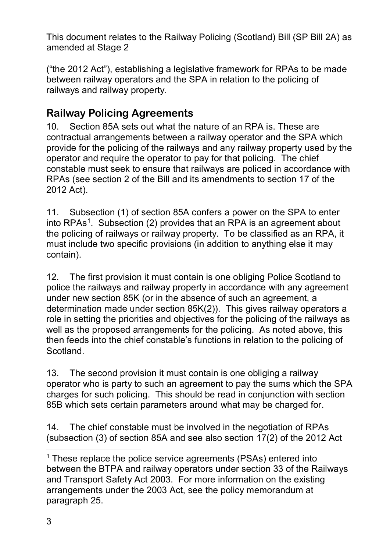("the 2012 Act"), establishing a legislative framework for RPAs to be made between railway operators and the SPA in relation to the policing of railways and railway property.

# **Railway Policing Agreements**

10. Section 85A sets out what the nature of an RPA is. These are contractual arrangements between a railway operator and the SPA which provide for the policing of the railways and any railway property used by the operator and require the operator to pay for that policing. The chief constable must seek to ensure that railways are policed in accordance with RPAs (see section 2 of the Bill and its amendments to section 17 of the 2012 Act).

11. Subsection (1) of section 85A confers a power on the SPA to enter into  $RPAs<sup>1</sup>$ . Subsection (2) provides that an RPA is an agreement about the policing of railways or railway property. To be classified as an RPA, it must include two specific provisions (in addition to anything else it may contain).

12. The first provision it must contain is one obliging Police Scotland to police the railways and railway property in accordance with any agreement under new section 85K (or in the absence of such an agreement, a determination made under section 85K(2)). This gives railway operators a role in setting the priorities and objectives for the policing of the railways as well as the proposed arrangements for the policing. As noted above, this then feeds into the chief constable's functions in relation to the policing of Scotland.

13. The second provision it must contain is one obliging a railway operator who is party to such an agreement to pay the sums which the SPA charges for such policing. This should be read in conjunction with section 85B which sets certain parameters around what may be charged for.

14. The chief constable must be involved in the negotiation of RPAs (subsection (3) of section 85A and see also section 17(2) of the 2012 Act

 $\overline{a}$ 

<span id="page-2-0"></span> $1$  These replace the police service agreements (PSAs) entered into between the BTPA and railway operators under section 33 of the Railways and Transport Safety Act 2003. For more information on the existing arrangements under the 2003 Act, see the policy memorandum at paragraph 25.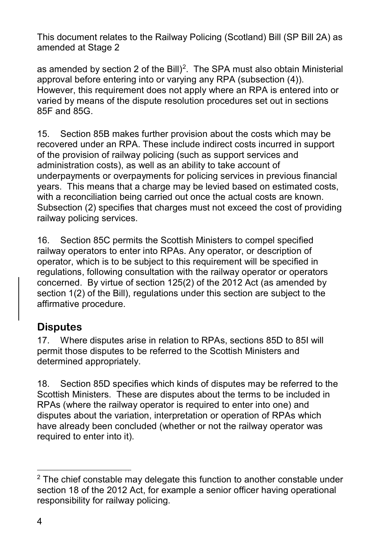as amended by section 2 of the Bill)<sup>2</sup>. The SPA must also obtain Ministerial approval before entering into or varying any RPA (subsection (4)). However, this requirement does not apply where an RPA is entered into or varied by means of the dispute resolution procedures set out in sections 85F and 85G.

15. Section 85B makes further provision about the costs which may be recovered under an RPA. These include indirect costs incurred in support of the provision of railway policing (such as support services and administration costs), as well as an ability to take account of underpayments or overpayments for policing services in previous financial years. This means that a charge may be levied based on estimated costs, with a reconciliation being carried out once the actual costs are known. Subsection (2) specifies that charges must not exceed the cost of providing railway policing services.

16. Section 85C permits the Scottish Ministers to compel specified railway operators to enter into RPAs. Any operator, or description of operator, which is to be subject to this requirement will be specified in regulations, following consultation with the railway operator or operators concerned. By virtue of section 125(2) of the 2012 Act (as amended by section 1(2) of the Bill), regulations under this section are subject to the affirmative procedure.

## **Disputes**

17. Where disputes arise in relation to RPAs, sections 85D to 85I will permit those disputes to be referred to the Scottish Ministers and determined appropriately.

18. Section 85D specifies which kinds of disputes may be referred to the Scottish Ministers. These are disputes about the terms to be included in RPAs (where the railway operator is required to enter into one) and disputes about the variation, interpretation or operation of RPAs which have already been concluded (whether or not the railway operator was required to enter into it).

<span id="page-3-0"></span><sup>-</sup> $2$  The chief constable may delegate this function to another constable under section 18 of the 2012 Act, for example a senior officer having operational responsibility for railway policing.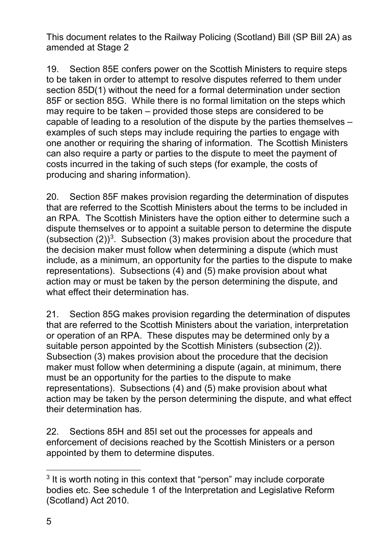19. Section 85E confers power on the Scottish Ministers to require steps to be taken in order to attempt to resolve disputes referred to them under section 85D(1) without the need for a formal determination under section 85F or section 85G. While there is no formal limitation on the steps which may require to be taken – provided those steps are considered to be capable of leading to a resolution of the dispute by the parties themselves – examples of such steps may include requiring the parties to engage with one another or requiring the sharing of information. The Scottish Ministers can also require a party or parties to the dispute to meet the payment of costs incurred in the taking of such steps (for example, the costs of producing and sharing information).

20. Section 85F makes provision regarding the determination of disputes that are referred to the Scottish Ministers about the terms to be included in an RPA. The Scottish Ministers have the option either to determine such a dispute themselves or to appoint a suitable person to determine the dispute (subsection  $(2)$ )<sup>3</sup>. Subsection (3) makes provision about the procedure that the decision maker must follow when determining a dispute (which must include, as a minimum, an opportunity for the parties to the dispute to make representations). Subsections (4) and (5) make provision about what action may or must be taken by the person determining the dispute, and what effect their determination has.

21. Section 85G makes provision regarding the determination of disputes that are referred to the Scottish Ministers about the variation, interpretation or operation of an RPA. These disputes may be determined only by a suitable person appointed by the Scottish Ministers (subsection (2)). Subsection (3) makes provision about the procedure that the decision maker must follow when determining a dispute (again, at minimum, there must be an opportunity for the parties to the dispute to make representations). Subsections (4) and (5) make provision about what action may be taken by the person determining the dispute, and what effect their determination has.

22. Sections 85H and 85I set out the processes for appeals and enforcement of decisions reached by the Scottish Ministers or a person appointed by them to determine disputes.

 $\overline{a}$ 

<span id="page-4-0"></span> $3$  It is worth noting in this context that "person" may include corporate bodies etc. See schedule 1 of the Interpretation and Legislative Reform (Scotland) Act 2010.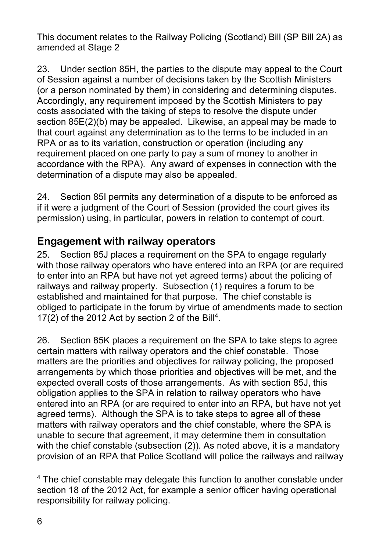23. Under section 85H, the parties to the dispute may appeal to the Court of Session against a number of decisions taken by the Scottish Ministers (or a person nominated by them) in considering and determining disputes. Accordingly, any requirement imposed by the Scottish Ministers to pay costs associated with the taking of steps to resolve the dispute under section 85E(2)(b) may be appealed. Likewise, an appeal may be made to that court against any determination as to the terms to be included in an RPA or as to its variation, construction or operation (including any requirement placed on one party to pay a sum of money to another in accordance with the RPA). Any award of expenses in connection with the determination of a dispute may also be appealed.

24. Section 85I permits any determination of a dispute to be enforced as if it were a judgment of the Court of Session (provided the court gives its permission) using, in particular, powers in relation to contempt of court.

#### **Engagement with railway operators**

25. Section 85J places a requirement on the SPA to engage regularly with those railway operators who have entered into an RPA (or are required to enter into an RPA but have not yet agreed terms) about the policing of railways and railway property. Subsection (1) requires a forum to be established and maintained for that purpose. The chief constable is obliged to participate in the forum by virtue of amendments made to section 17(2) of the 2012 Act by section 2 of the Bill<sup>[4](#page-5-0)</sup>.

26. Section 85K places a requirement on the SPA to take steps to agree certain matters with railway operators and the chief constable. Those matters are the priorities and objectives for railway policing, the proposed arrangements by which those priorities and objectives will be met, and the expected overall costs of those arrangements. As with section 85J, this obligation applies to the SPA in relation to railway operators who have entered into an RPA (or are required to enter into an RPA, but have not yet agreed terms). Although the SPA is to take steps to agree all of these matters with railway operators and the chief constable, where the SPA is unable to secure that agreement, it may determine them in consultation with the chief constable (subsection (2)). As noted above, it is a mandatory provision of an RPA that Police Scotland will police the railways and railway

-

<span id="page-5-0"></span> $4$  The chief constable may delegate this function to another constable under section 18 of the 2012 Act, for example a senior officer having operational responsibility for railway policing.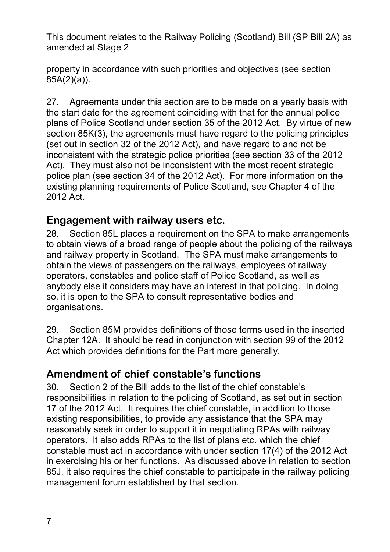property in accordance with such priorities and objectives (see section 85A(2)(a)).

27. Agreements under this section are to be made on a yearly basis with the start date for the agreement coinciding with that for the annual police plans of Police Scotland under section 35 of the 2012 Act. By virtue of new section 85K(3), the agreements must have regard to the policing principles (set out in section 32 of the 2012 Act), and have regard to and not be inconsistent with the strategic police priorities (see section 33 of the 2012 Act). They must also not be inconsistent with the most recent strategic police plan (see section 34 of the 2012 Act). For more information on the existing planning requirements of Police Scotland, see Chapter 4 of the 2012 Act.

#### **Engagement with railway users etc.**

28. Section 85L places a requirement on the SPA to make arrangements to obtain views of a broad range of people about the policing of the railways and railway property in Scotland. The SPA must make arrangements to obtain the views of passengers on the railways, employees of railway operators, constables and police staff of Police Scotland, as well as anybody else it considers may have an interest in that policing. In doing so, it is open to the SPA to consult representative bodies and organisations.

29. Section 85M provides definitions of those terms used in the inserted Chapter 12A. It should be read in conjunction with section 99 of the 2012 Act which provides definitions for the Part more generally.

#### **Amendment of chief constable's functions**

30. Section 2 of the Bill adds to the list of the chief constable's responsibilities in relation to the policing of Scotland, as set out in section 17 of the 2012 Act. It requires the chief constable, in addition to those existing responsibilities, to provide any assistance that the SPA may reasonably seek in order to support it in negotiating RPAs with railway operators. It also adds RPAs to the list of plans etc. which the chief constable must act in accordance with under section 17(4) of the 2012 Act in exercising his or her functions. As discussed above in relation to section 85J, it also requires the chief constable to participate in the railway policing management forum established by that section.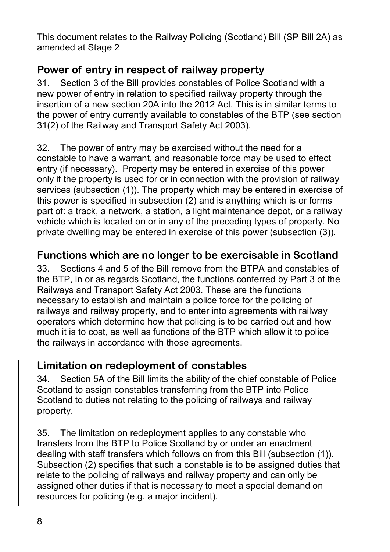# **Power of entry in respect of railway property**

31. Section 3 of the Bill provides constables of Police Scotland with a new power of entry in relation to specified railway property through the insertion of a new section 20A into the 2012 Act. This is in similar terms to the power of entry currently available to constables of the BTP (see section 31(2) of the Railway and Transport Safety Act 2003).

32. The power of entry may be exercised without the need for a constable to have a warrant, and reasonable force may be used to effect entry (if necessary). Property may be entered in exercise of this power only if the property is used for or in connection with the provision of railway services (subsection (1)). The property which may be entered in exercise of this power is specified in subsection (2) and is anything which is or forms part of: a track, a network, a station, a light maintenance depot, or a railway vehicle which is located on or in any of the preceding types of property. No private dwelling may be entered in exercise of this power (subsection (3)).

# **Functions which are no longer to be exercisable in Scotland**

33. Sections 4 and 5 of the Bill remove from the BTPA and constables of the BTP, in or as regards Scotland, the functions conferred by Part 3 of the Railways and Transport Safety Act 2003. These are the functions necessary to establish and maintain a police force for the policing of railways and railway property, and to enter into agreements with railway operators which determine how that policing is to be carried out and how much it is to cost, as well as functions of the BTP which allow it to police the railways in accordance with those agreements.

# **Limitation on redeployment of constables**

34. Section 5A of the Bill limits the ability of the chief constable of Police Scotland to assign constables transferring from the BTP into Police Scotland to duties not relating to the policing of railways and railway property.

35. The limitation on redeployment applies to any constable who transfers from the BTP to Police Scotland by or under an enactment dealing with staff transfers which follows on from this Bill (subsection (1)). Subsection (2) specifies that such a constable is to be assigned duties that relate to the policing of railways and railway property and can only be assigned other duties if that is necessary to meet a special demand on resources for policing (e.g. a major incident).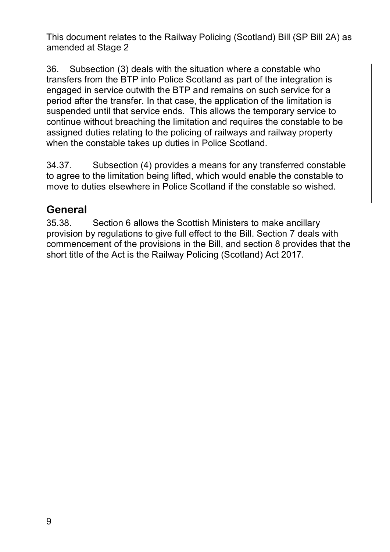36. Subsection (3) deals with the situation where a constable who transfers from the BTP into Police Scotland as part of the integration is engaged in service outwith the BTP and remains on such service for a period after the transfer. In that case, the application of the limitation is suspended until that service ends. This allows the temporary service to continue without breaching the limitation and requires the constable to be assigned duties relating to the policing of railways and railway property when the constable takes up duties in Police Scotland.

34.37. Subsection (4) provides a means for any transferred constable to agree to the limitation being lifted, which would enable the constable to move to duties elsewhere in Police Scotland if the constable so wished.

# **General**

35.38. Section 6 allows the Scottish Ministers to make ancillary provision by regulations to give full effect to the Bill. Section 7 deals with commencement of the provisions in the Bill, and section 8 provides that the short title of the Act is the Railway Policing (Scotland) Act 2017.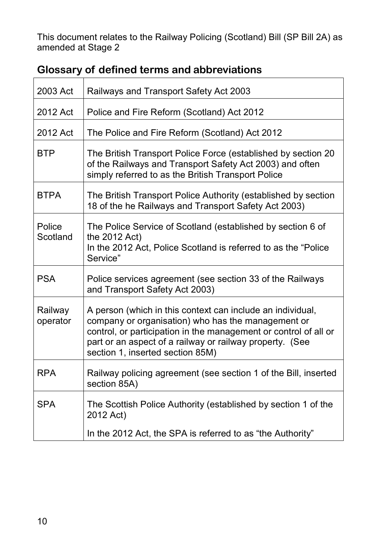| 2003 Act            | Railways and Transport Safety Act 2003                                                                                                                                                                                                                                               |
|---------------------|--------------------------------------------------------------------------------------------------------------------------------------------------------------------------------------------------------------------------------------------------------------------------------------|
| 2012 Act            | Police and Fire Reform (Scotland) Act 2012                                                                                                                                                                                                                                           |
| 2012 Act            | The Police and Fire Reform (Scotland) Act 2012                                                                                                                                                                                                                                       |
| <b>BTP</b>          | The British Transport Police Force (established by section 20<br>of the Railways and Transport Safety Act 2003) and often<br>simply referred to as the British Transport Police                                                                                                      |
| <b>BTPA</b>         | The British Transport Police Authority (established by section<br>18 of the he Railways and Transport Safety Act 2003)                                                                                                                                                               |
| Police<br>Scotland  | The Police Service of Scotland (established by section 6 of<br>the 2012 Act)<br>In the 2012 Act, Police Scotland is referred to as the "Police"<br>Service"                                                                                                                          |
| <b>PSA</b>          | Police services agreement (see section 33 of the Railways<br>and Transport Safety Act 2003)                                                                                                                                                                                          |
| Railway<br>operator | A person (which in this context can include an individual,<br>company or organisation) who has the management or<br>control, or participation in the management or control of all or<br>part or an aspect of a railway or railway property. (See<br>section 1, inserted section 85M) |
| <b>RPA</b>          | Railway policing agreement (see section 1 of the Bill, inserted<br>section 85A)                                                                                                                                                                                                      |
| <b>SPA</b>          | The Scottish Police Authority (established by section 1 of the<br>2012 Act)                                                                                                                                                                                                          |
|                     | In the 2012 Act, the SPA is referred to as "the Authority"                                                                                                                                                                                                                           |

# **Glossary of defined terms and abbreviations**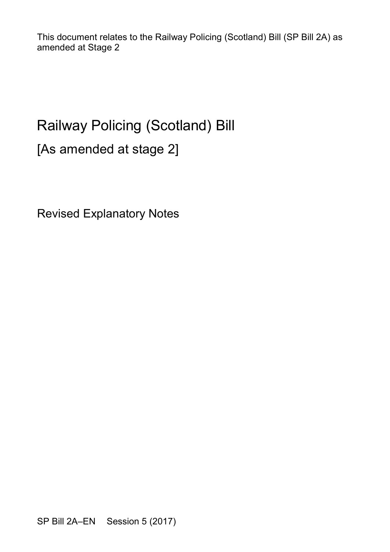# Railway Policing (Scotland) Bill

[As amended at stage 2]

Revised Explanatory Notes

SP Bill 2A–EN Session 5 (2017)